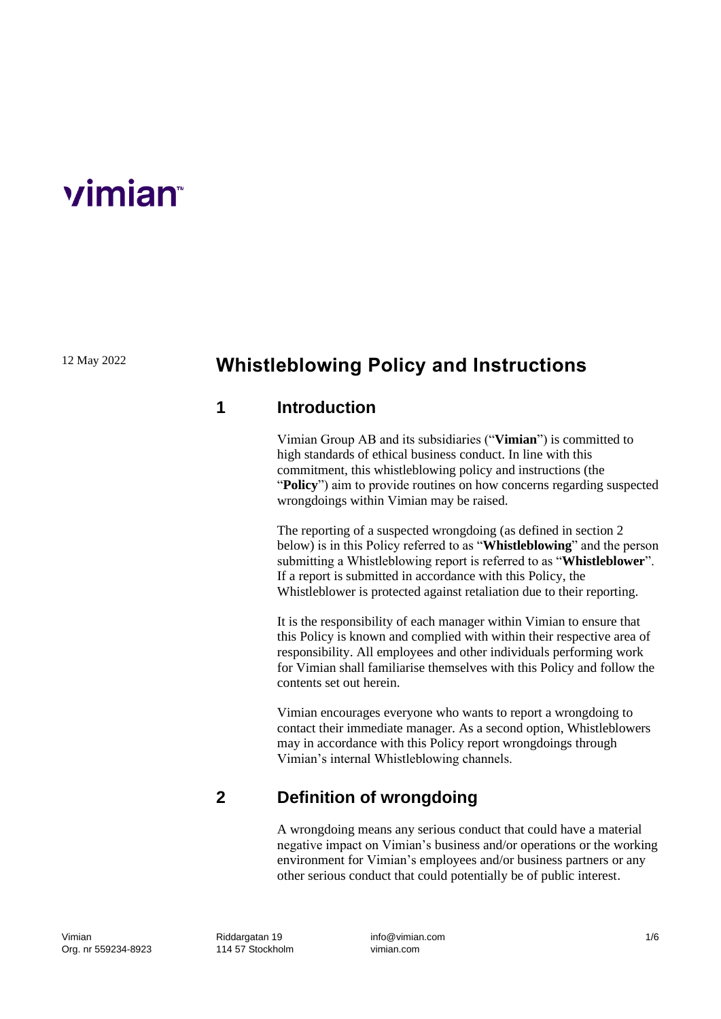# **vimian**

12 May 2022

# **Whistleblowing Policy and Instructions**

#### **1 Introduction**

Vimian Group AB and its subsidiaries ("**Vimian**") is committed to high standards of ethical business conduct. In line with this commitment, this whistleblowing policy and instructions (the "**Policy**") aim to provide routines on how concerns regarding suspected wrongdoings within Vimian may be raised.

The reporting of a suspected wrongdoing (as defined in section 2 below) is in this Policy referred to as "**Whistleblowing**" and the person submitting a Whistleblowing report is referred to as "**Whistleblower**". If a report is submitted in accordance with this Policy, the Whistleblower is protected against retaliation due to their reporting.

It is the responsibility of each manager within Vimian to ensure that this Policy is known and complied with within their respective area of responsibility. All employees and other individuals performing work for Vimian shall familiarise themselves with this Policy and follow the contents set out herein.

Vimian encourages everyone who wants to report a wrongdoing to contact their immediate manager. As a second option, Whistleblowers may in accordance with this Policy report wrongdoings through Vimian's internal Whistleblowing channels.

# **2 Definition of wrongdoing**

A wrongdoing means any serious conduct that could have a material negative impact on Vimian's business and/or operations or the working environment for Vimian's employees and/or business partners or any other serious conduct that could potentially be of public interest.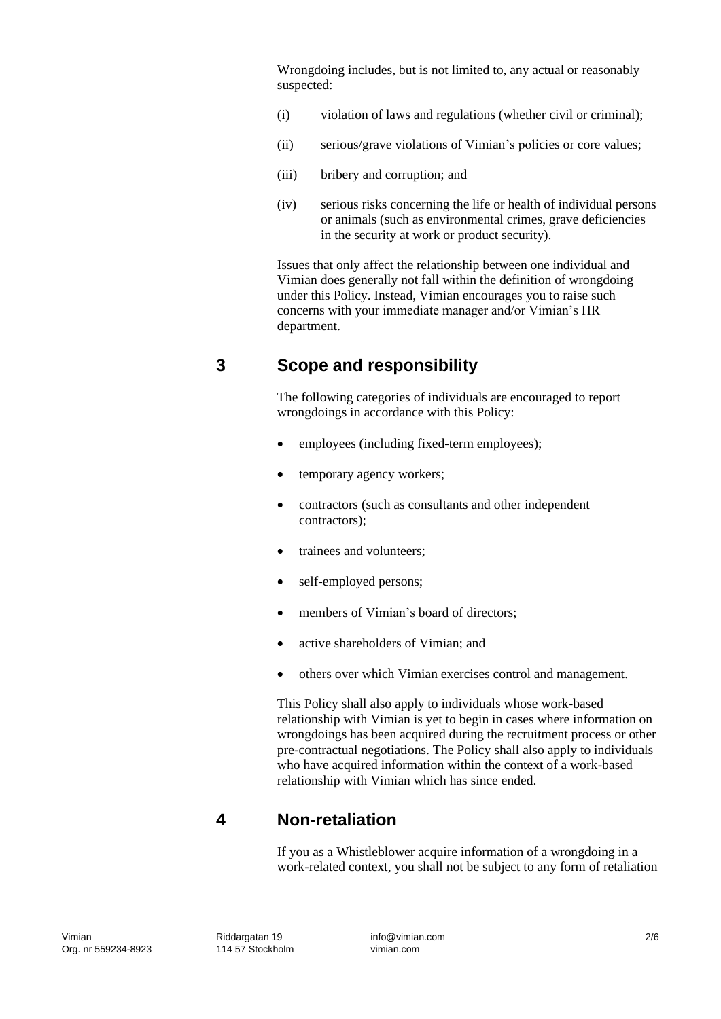Wrongdoing includes, but is not limited to, any actual or reasonably suspected:

- (i) violation of laws and regulations (whether civil or criminal);
- (ii) serious/grave violations of Vimian's policies or core values;
- (iii) bribery and corruption; and
- (iv) serious risks concerning the life or health of individual persons or animals (such as environmental crimes, grave deficiencies in the security at work or product security).

Issues that only affect the relationship between one individual and Vimian does generally not fall within the definition of wrongdoing under this Policy. Instead, Vimian encourages you to raise such concerns with your immediate manager and/or Vimian's HR department.

### **3 Scope and responsibility**

The following categories of individuals are encouraged to report wrongdoings in accordance with this Policy:

- employees (including fixed-term employees);
- temporary agency workers;
- contractors (such as consultants and other independent contractors);
- trainees and volunteers:
- self-employed persons;
- members of Vimian's board of directors;
- active shareholders of Vimian; and
- others over which Vimian exercises control and management.

This Policy shall also apply to individuals whose work-based relationship with Vimian is yet to begin in cases where information on wrongdoings has been acquired during the recruitment process or other pre-contractual negotiations. The Policy shall also apply to individuals who have acquired information within the context of a work-based relationship with Vimian which has since ended.

#### **4 Non-retaliation**

If you as a Whistleblower acquire information of a wrongdoing in a work-related context, you shall not be subject to any form of retaliation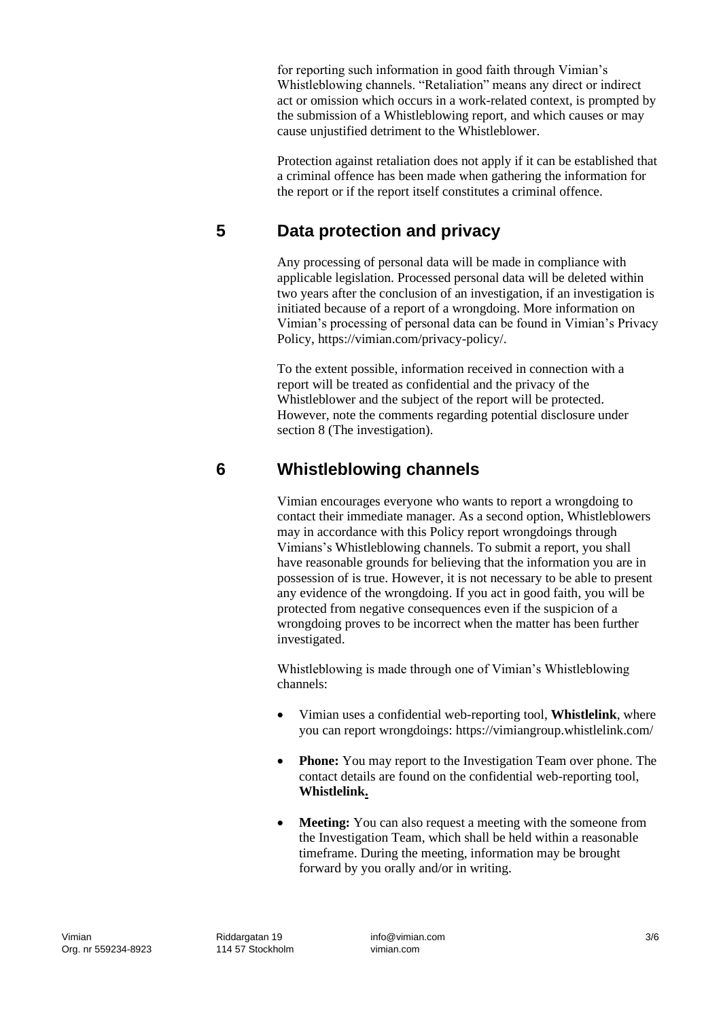for reporting such information in good faith through Vimian's Whistleblowing channels. "Retaliation" means any direct or indirect act or omission which occurs in a work-related context, is prompted by the submission of a Whistleblowing report, and which causes or may cause unjustified detriment to the Whistleblower.

Protection against retaliation does not apply if it can be established that a criminal offence has been made when gathering the information for the report or if the report itself constitutes a criminal offence.

## **5 Data protection and privacy**

Any processing of personal data will be made in compliance with applicable legislation. Processed personal data will be deleted within two years after the conclusion of an investigation, if an investigation is initiated because of a report of a wrongdoing. More information on Vimian's processing of personal data can be found in [Vimian's Privacy](https://vimian.com/privacy-policy/)  [Policy,](https://vimian.com/privacy-policy/) https://vimian.com/privacy-policy/.

To the extent possible, information received in connection with a report will be treated as confidential and the privacy of the Whistleblower and the subject of the report will be protected. However, note the comments regarding potential disclosure under section 8 (The investigation).

#### **6 Whistleblowing channels**

Vimian encourages everyone who wants to report a wrongdoing to contact their immediate manager. As a second option, Whistleblowers may in accordance with this Policy report wrongdoings through Vimians's Whistleblowing channels. To submit a report, you shall have reasonable grounds for believing that the information you are in possession of is true. However, it is not necessary to be able to present any evidence of the wrongdoing. If you act in good faith, you will be protected from negative consequences even if the suspicion of a wrongdoing proves to be incorrect when the matter has been further investigated.

Whistleblowing is made through one of Vimian's Whistleblowing channels:

- Vimian uses a confidential web-reporting tool, **[Whistlelink](https://vimiangroup.whistlelink.com/)**, where you can report wrongdoings: https://vimiangroup.whistlelink.com/
- **Phone:** You may report to the Investigation Team over phone. The contact details are found on the confidential web-reporting tool, **[Whistlelink.](https://vimiangroup.whistlelink.com/)**
- **Meeting:** You can also request a meeting with the someone from the Investigation Team, which shall be held within a reasonable timeframe. During the meeting, information may be brought forward by you orally and/or in writing.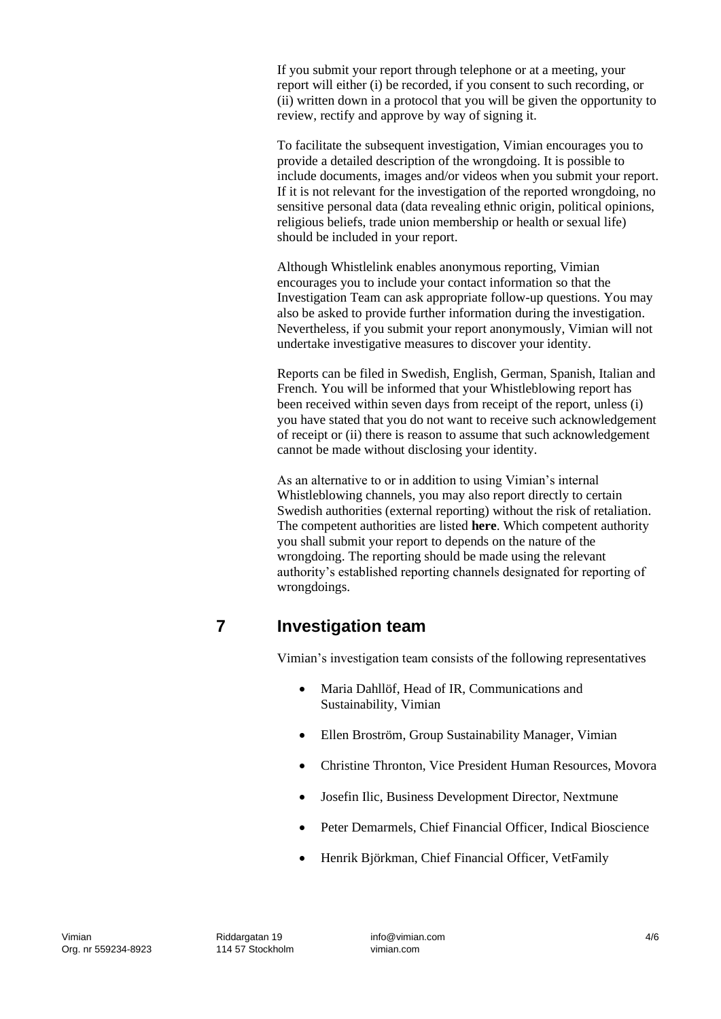If you submit your report through telephone or at a meeting, your report will either (i) be recorded, if you consent to such recording, or (ii) written down in a protocol that you will be given the opportunity to review, rectify and approve by way of signing it.

To facilitate the subsequent investigation, Vimian encourages you to provide a detailed description of the wrongdoing. It is possible to include documents, images and/or videos when you submit your report. If it is not relevant for the investigation of the reported wrongdoing, no sensitive personal data (data revealing ethnic origin, political opinions, religious beliefs, trade union membership or health or sexual life) should be included in your report.

Although Whistlelink enables anonymous reporting, Vimian encourages you to include your contact information so that the Investigation Team can ask appropriate follow-up questions. You may also be asked to provide further information during the investigation. Nevertheless, if you submit your report anonymously, Vimian will not undertake investigative measures to discover your identity.

Reports can be filed in Swedish, English, German, Spanish, Italian and French. You will be informed that your Whistleblowing report has been received within seven days from receipt of the report, unless (i) you have stated that you do not want to receive such acknowledgement of receipt or (ii) there is reason to assume that such acknowledgement cannot be made without disclosing your identity.

As an alternative to or in addition to using Vimian's internal Whistleblowing channels, you may also report directly to certain Swedish authorities (external reporting) without the risk of retaliation. The competent authorities are listed **[here](https://www.regeringen.se/pressmeddelanden/2021/10/myndigheter-ska-inratta-visselblasarfunktioner/)**. Which competent authority you shall submit your report to depends on the nature of the wrongdoing. The reporting should be made using the relevant authority's established reporting channels designated for reporting of wrongdoings.

# **7 Investigation team**

Vimian's investigation team consists of the following representatives

- Maria Dahllöf, Head of IR, Communications and Sustainability, Vimian
- Ellen Broström, Group Sustainability Manager, Vimian
- Christine Thronton, Vice President Human Resources, Movora
- Josefin Ilic, Business Development Director, Nextmune
- Peter Demarmels, Chief Financial Officer, Indical Bioscience
- Henrik Björkman, Chief Financial Officer, VetFamily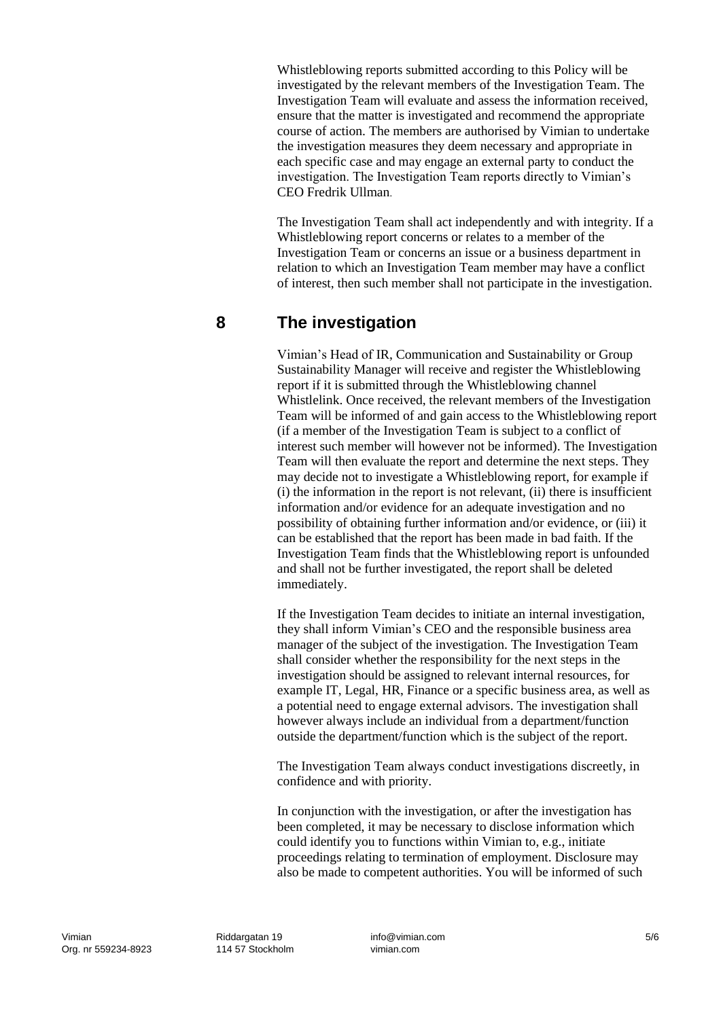Whistleblowing reports submitted according to this Policy will be investigated by the relevant members of the Investigation Team. The Investigation Team will evaluate and assess the information received, ensure that the matter is investigated and recommend the appropriate course of action. The members are authorised by Vimian to undertake the investigation measures they deem necessary and appropriate in each specific case and may engage an external party to conduct the investigation. The Investigation Team reports directly to Vimian's CEO Fredrik Ullman.

The Investigation Team shall act independently and with integrity. If a Whistleblowing report concerns or relates to a member of the Investigation Team or concerns an issue or a business department in relation to which an Investigation Team member may have a conflict of interest, then such member shall not participate in the investigation.

#### **8 The investigation**

Vimian's Head of IR, Communication and Sustainability or Group Sustainability Manager will receive and register the Whistleblowing report if it is submitted through the Whistleblowing channel Whistlelink. Once received, the relevant members of the Investigation Team will be informed of and gain access to the Whistleblowing report (if a member of the Investigation Team is subject to a conflict of interest such member will however not be informed). The Investigation Team will then evaluate the report and determine the next steps. They may decide not to investigate a Whistleblowing report, for example if (i) the information in the report is not relevant, (ii) there is insufficient information and/or evidence for an adequate investigation and no possibility of obtaining further information and/or evidence, or (iii) it can be established that the report has been made in bad faith. If the Investigation Team finds that the Whistleblowing report is unfounded and shall not be further investigated, the report shall be deleted immediately.

If the Investigation Team decides to initiate an internal investigation, they shall inform Vimian's CEO and the responsible business area manager of the subject of the investigation. The Investigation Team shall consider whether the responsibility for the next steps in the investigation should be assigned to relevant internal resources, for example IT, Legal, HR, Finance or a specific business area, as well as a potential need to engage external advisors. The investigation shall however always include an individual from a department/function outside the department/function which is the subject of the report.

The Investigation Team always conduct investigations discreetly, in confidence and with priority.

In conjunction with the investigation, or after the investigation has been completed, it may be necessary to disclose information which could identify you to functions within Vimian to, e.g., initiate proceedings relating to termination of employment. Disclosure may also be made to competent authorities. You will be informed of such